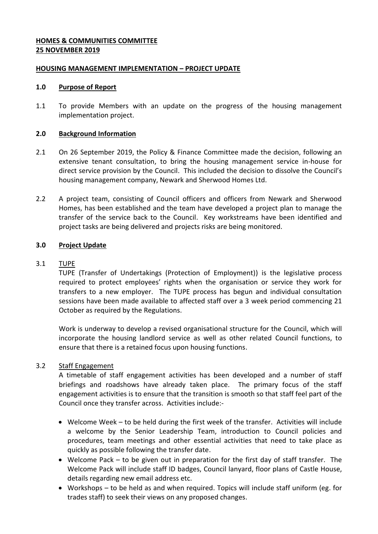# **HOMES & COMMUNITIES COMMITTEE 25 NOVEMBER 2019**

## **HOUSING MANAGEMENT IMPLEMENTATION – PROJECT UPDATE**

### **1.0 Purpose of Report**

1.1 To provide Members with an update on the progress of the housing management implementation project.

#### **2.0 Background Information**

- 2.1 On 26 September 2019, the Policy & Finance Committee made the decision, following an extensive tenant consultation, to bring the housing management service in-house for direct service provision by the Council. This included the decision to dissolve the Council's housing management company, Newark and Sherwood Homes Ltd.
- 2.2 A project team, consisting of Council officers and officers from Newark and Sherwood Homes, has been established and the team have developed a project plan to manage the transfer of the service back to the Council. Key workstreams have been identified and project tasks are being delivered and projects risks are being monitored.

### **3.0 Project Update**

### 3.1 TUPE

TUPE (Transfer of Undertakings (Protection of Employment)) is the legislative process required to protect employees' rights when the organisation or service they work for transfers to a new employer. The TUPE process has begun and individual consultation sessions have been made available to affected staff over a 3 week period commencing 21 October as required by the Regulations.

Work is underway to develop a revised organisational structure for the Council, which will incorporate the housing landlord service as well as other related Council functions, to ensure that there is a retained focus upon housing functions.

### 3.2 Staff Engagement

A timetable of staff engagement activities has been developed and a number of staff briefings and roadshows have already taken place. The primary focus of the staff engagement activities is to ensure that the transition is smooth so that staff feel part of the Council once they transfer across. Activities include:-

- Welcome Week to be held during the first week of the transfer. Activities will include a welcome by the Senior Leadership Team, introduction to Council policies and procedures, team meetings and other essential activities that need to take place as quickly as possible following the transfer date.
- Welcome Pack to be given out in preparation for the first day of staff transfer. The Welcome Pack will include staff ID badges, Council lanyard, floor plans of Castle House, details regarding new email address etc.
- Workshops to be held as and when required. Topics will include staff uniform (eg. for trades staff) to seek their views on any proposed changes.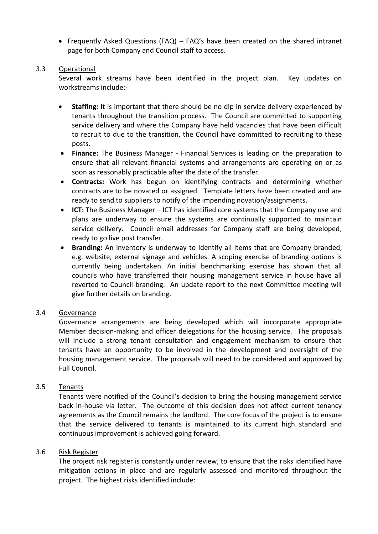Frequently Asked Questions (FAQ) – FAQ's have been created on the shared intranet page for both Company and Council staff to access.

#### 3.3 Operational

Several work streams have been identified in the project plan. Key updates on workstreams include:-

- **Staffing:** It is important that there should be no dip in service delivery experienced by tenants throughout the transition process. The Council are committed to supporting service delivery and where the Company have held vacancies that have been difficult to recruit to due to the transition, the Council have committed to recruiting to these posts.
- **Finance:** The Business Manager Financial Services is leading on the preparation to ensure that all relevant financial systems and arrangements are operating on or as soon as reasonably practicable after the date of the transfer.
- **Contracts:** Work has begun on identifying contracts and determining whether contracts are to be novated or assigned. Template letters have been created and are ready to send to suppliers to notify of the impending novation/assignments.
- **ICT:** The Business Manager ICT has identified core systems that the Company use and plans are underway to ensure the systems are continually supported to maintain service delivery. Council email addresses for Company staff are being developed, ready to go live post transfer.
- **Branding:** An inventory is underway to identify all items that are Company branded, e.g. website, external signage and vehicles. A scoping exercise of branding options is currently being undertaken. An initial benchmarking exercise has shown that all councils who have transferred their housing management service in house have all reverted to Council branding. An update report to the next Committee meeting will give further details on branding.

# 3.4 Governance

Governance arrangements are being developed which will incorporate appropriate Member decision-making and officer delegations for the housing service. The proposals will include a strong tenant consultation and engagement mechanism to ensure that tenants have an opportunity to be involved in the development and oversight of the housing management service. The proposals will need to be considered and approved by Full Council.

### 3.5 Tenants

Tenants were notified of the Council's decision to bring the housing management service back in-house via letter. The outcome of this decision does not affect current tenancy agreements as the Council remains the landlord. The core focus of the project is to ensure that the service delivered to tenants is maintained to its current high standard and continuous improvement is achieved going forward.

### 3.6 Risk Register

The project risk register is constantly under review, to ensure that the risks identified have mitigation actions in place and are regularly assessed and monitored throughout the project. The highest risks identified include: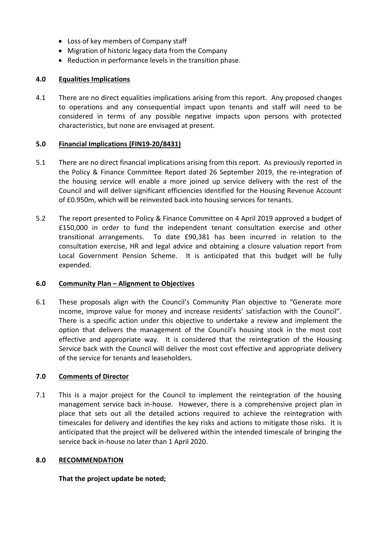- Loss of key members of Company staff
- Migration of historic legacy data from the Company
- Reduction in performance levels in the transition phase.

# **4.0 Equalities Implications**

4.1 There are no direct equalities implications arising from this report. Any proposed changes to operations and any consequential impact upon tenants and staff will need to be considered in terms of any possible negative impacts upon persons with protected characteristics, but none are envisaged at present.

# **5.0 Financial Implications (FIN19-20/8431)**

- 5.1 There are no direct financial implications arising from this report. As previously reported in the Policy & Finance Committee Report dated 26 September 2019, the re-integration of the housing service will enable a more joined up service delivery with the rest of the Council and will deliver significant efficiencies identified for the Housing Revenue Account of £0.950m, which will be reinvested back into housing services for tenants.
- 5.2 The report presented to Policy & Finance Committee on 4 April 2019 approved a budget of £150,000 in order to fund the independent tenant consultation exercise and other transitional arrangements. To date £90,381 has been incurred in relation to the consultation exercise, HR and legal advice and obtaining a closure valuation report from Local Government Pension Scheme. It is anticipated that this budget will be fully expended.

### **6.0 Community Plan – Alignment to Objectives**

6.1 These proposals align with the Council's Community Plan objective to "Generate more income, improve value for money and increase residents' satisfaction with the Council". There is a specific action under this objective to undertake a review and implement the option that delivers the management of the Council's housing stock in the most cost effective and appropriate way. It is considered that the reintegration of the Housing Service back with the Council will deliver the most cost effective and appropriate delivery of the service for tenants and leaseholders.

# **7.0 Comments of Director**

7.1 This is a major project for the Council to implement the reintegration of the housing management service back in-house. However, there is a comprehensive project plan in place that sets out all the detailed actions required to achieve the reintegration with timescales for delivery and identifies the key risks and actions to mitigate those risks. It is anticipated that the project will be delivered within the intended timescale of bringing the service back in-house no later than 1 April 2020.

### **8.0 RECOMMENDATION**

**That the project update be noted;**